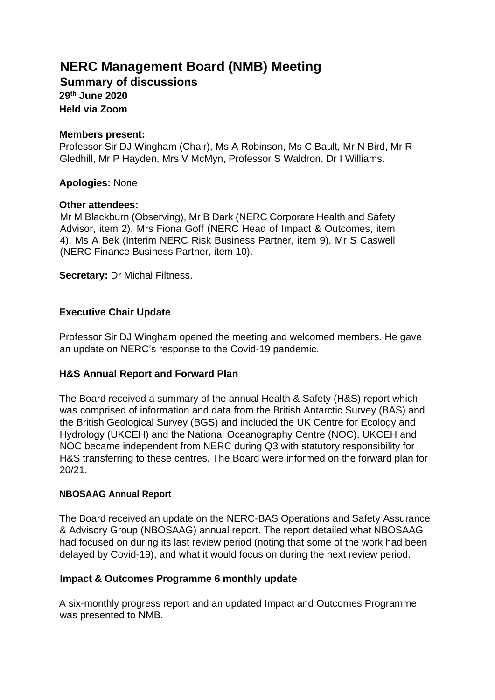# **NERC Management Board (NMB) Meeting**

**Summary of discussions 29th June 2020 Held via Zoom** 

#### **Members present:**

Professor Sir DJ Wingham (Chair), Ms A Robinson, Ms C Bault, Mr N Bird, Mr R Gledhill, Mr P Hayden, Mrs V McMyn, Professor S Waldron, Dr I Williams.

## **Apologies:** None

#### **Other attendees:**

Mr M Blackburn (Observing), Mr B Dark (NERC Corporate Health and Safety Advisor, item 2), Mrs Fiona Goff (NERC Head of Impact & Outcomes, item 4), Ms A Bek (Interim NERC Risk Business Partner, item 9), Mr S Caswell (NERC Finance Business Partner, item 10).

**Secretary:** Dr Michal Filtness.

# **Executive Chair Update**

Professor Sir DJ Wingham opened the meeting and welcomed members. He gave an update on NERC's response to the Covid-19 pandemic.

# **H&S Annual Report and Forward Plan**

The Board received a summary of the annual Health & Safety (H&S) report which was comprised of information and data from the British Antarctic Survey (BAS) and the British Geological Survey (BGS) and included the UK Centre for Ecology and Hydrology (UKCEH) and the National Oceanography Centre (NOC). UKCEH and NOC became independent from NERC during Q3 with statutory responsibility for H&S transferring to these centres. The Board were informed on the forward plan for 20/21.

#### **NBOSAAG Annual Report**

The Board received an update on the NERC-BAS Operations and Safety Assurance & Advisory Group (NBOSAAG) annual report. The report detailed what NBOSAAG had focused on during its last review period (noting that some of the work had been delayed by Covid-19), and what it would focus on during the next review period.

# **Impact & Outcomes Programme 6 monthly update**

A six-monthly progress report and an updated Impact and Outcomes Programme was presented to NMB.